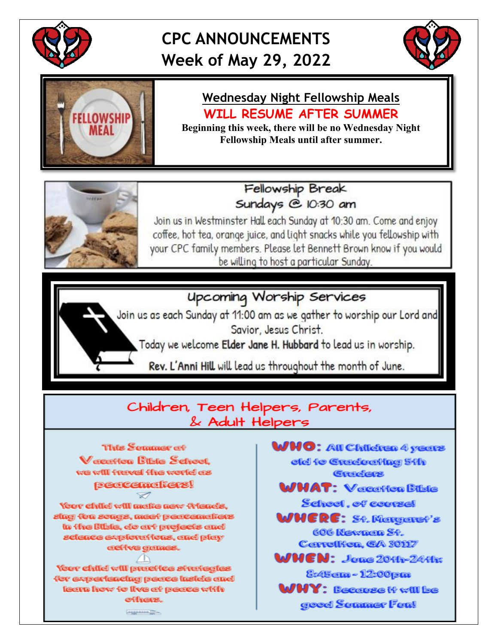

## **CPC ANNOUNCEMENTS Week of May 29, 2022**





# **Wednesday Night Fellowship Meals WILL RESUME AFTER SUMMER**

Beginning this week, there will be no Wednesday Night **Fellowship Meals until after summer.** 



Fellowship Break Sundays @ 10:30 am

Join us in Westminster Hall each Sunday at 10:30 am. Come and enjoy coffee, hot tea, orange juice, and light snacks while you fellowship with your CPC family members. Please let Bennett Brown know if you would be willing to host a particular Sunday.

### **Upcoming Worship Services**

Join us as each Sunday at 11:00 am as we gather to worship our Lord and Savior, Jesus Christ.

Today we welcome Elder Jane H. Hubbard to lead us in worship.

Rev. L'Anni Hill will lead us throughout the month of June.

#### Children, Teen Helpers, Parents, & Adult Helpers



**WHO: All Children 4 years** eld to Graduating 5th Graders **MMAT: Verestion Bible** School. of course! WHERE: St. Margaret's 606 Nevaron St.

Correllfon, GA 30117

 $\mathsf{WHEN}\colon$  Jane 2011-2411:

8:45cm - 12:00pm

**WHY: Becovee to will be** good Sommer Fon!